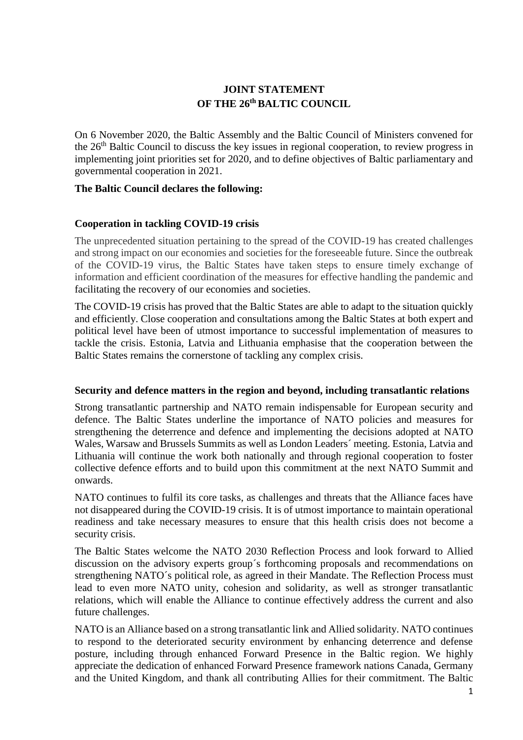# **JOINT STATEMENT OF THE 26 th BALTIC COUNCIL**

On 6 November 2020, the Baltic Assembly and the Baltic Council of Ministers convened for the 26<sup>th</sup> Baltic Council to discuss the key issues in regional cooperation, to review progress in implementing joint priorities set for 2020, and to define objectives of Baltic parliamentary and governmental cooperation in 2021.

### **The Baltic Council declares the following:**

### **Cooperation in tackling COVID-19 crisis**

The unprecedented situation pertaining to the spread of the COVID-19 has created challenges and strong impact on our economies and societies for the foreseeable future. Since the outbreak of the COVID-19 virus, the Baltic States have taken steps to ensure timely exchange of information and efficient coordination of the measures for effective handling the pandemic and facilitating the recovery of our economies and societies.

The COVID-19 crisis has proved that the Baltic States are able to adapt to the situation quickly and efficiently. Close cooperation and consultations among the Baltic States at both expert and political level have been of utmost importance to successful implementation of measures to tackle the crisis. Estonia, Latvia and Lithuania emphasise that the cooperation between the Baltic States remains the cornerstone of tackling any complex crisis.

### **Security and defence matters in the region and beyond, including transatlantic relations**

Strong transatlantic partnership and NATO remain indispensable for European security and defence. The Baltic States underline the importance of NATO policies and measures for strengthening the deterrence and defence and implementing the decisions adopted at NATO Wales, Warsaw and Brussels Summits as well as London Leaders´ meeting. Estonia, Latvia and Lithuania will continue the work both nationally and through regional cooperation to foster collective defence efforts and to build upon this commitment at the next NATO Summit and onwards.

NATO continues to fulfil its core tasks, as challenges and threats that the Alliance faces have not disappeared during the COVID-19 crisis. It is of utmost importance to maintain operational readiness and take necessary measures to ensure that this health crisis does not become a security crisis.

The Baltic States welcome the NATO 2030 Reflection Process and look forward to Allied discussion on the advisory experts group´s forthcoming proposals and recommendations on strengthening NATO´s political role, as agreed in their Mandate. The Reflection Process must lead to even more NATO unity, cohesion and solidarity, as well as stronger transatlantic relations, which will enable the Alliance to continue effectively address the current and also future challenges.

NATO is an Alliance based on a strong transatlantic link and Allied solidarity. NATO continues to respond to the deteriorated security environment by enhancing deterrence and defense posture, including through enhanced Forward Presence in the Baltic region. We highly appreciate the dedication of enhanced Forward Presence framework nations Canada, Germany and the United Kingdom, and thank all contributing Allies for their commitment. The Baltic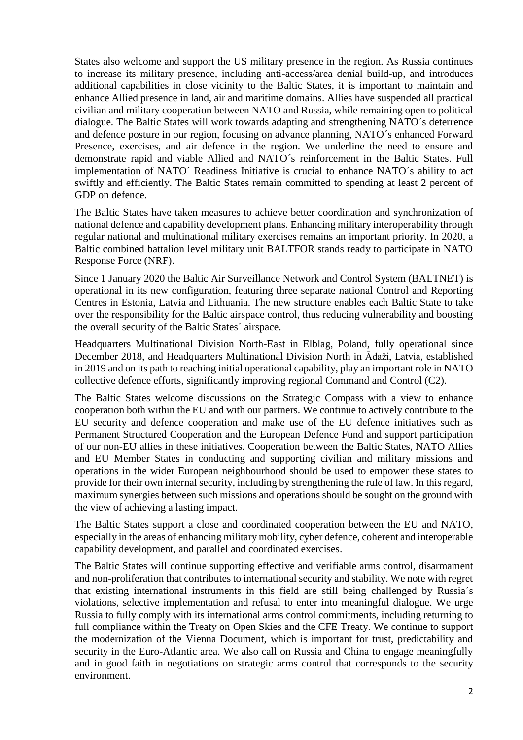States also welcome and support the US military presence in the region. As Russia continues to increase its military presence, including anti-access/area denial build-up, and introduces additional capabilities in close vicinity to the Baltic States, it is important to maintain and enhance Allied presence in land, air and maritime domains. Allies have suspended all practical civilian and military cooperation between NATO and Russia, while remaining open to political dialogue. The Baltic States will work towards adapting and strengthening NATO´s deterrence and defence posture in our region, focusing on advance planning, NATO´s enhanced Forward Presence, exercises, and air defence in the region. We underline the need to ensure and demonstrate rapid and viable Allied and NATO´s reinforcement in the Baltic States. Full implementation of NATO´ Readiness Initiative is crucial to enhance NATO´s ability to act swiftly and efficiently. The Baltic States remain committed to spending at least 2 percent of GDP on defence.

The Baltic States have taken measures to achieve better coordination and synchronization of national defence and capability development plans. Enhancing military interoperability through regular national and multinational military exercises remains an important priority. In 2020, a Baltic combined battalion level military unit BALTFOR stands ready to participate in NATO Response Force (NRF).

Since 1 January 2020 the Baltic Air Surveillance Network and Control System (BALTNET) is operational in its new configuration, featuring three separate national Control and Reporting Centres in Estonia, Latvia and Lithuania. The new structure enables each Baltic State to take over the responsibility for the Baltic airspace control, thus reducing vulnerability and boosting the overall security of the Baltic States´ airspace.

Headquarters Multinational Division North-East in Elblag, Poland, fully operational since December 2018, and Headquarters Multinational Division North in Ādaži, Latvia, established in 2019 and on its path to reaching initial operational capability, play an important role in NATO collective defence efforts, significantly improving regional Command and Control (C2).

The Baltic States welcome discussions on the Strategic Compass with a view to enhance cooperation both within the EU and with our partners. We continue to actively contribute to the EU security and defence cooperation and make use of the EU defence initiatives such as Permanent Structured Cooperation and the European Defence Fund and support participation of our non-EU allies in these initiatives. Cooperation between the Baltic States, NATO Allies and EU Member States in conducting and supporting civilian and military missions and operations in the wider European neighbourhood should be used to empower these states to provide for their own internal security, including by strengthening the rule of law. In this regard, maximum synergies between such missions and operations should be sought on the ground with the view of achieving a lasting impact.

The Baltic States support a close and coordinated cooperation between the EU and NATO, especially in the areas of enhancing military mobility, cyber defence, coherent and interoperable capability development, and parallel and coordinated exercises.

The Baltic States will continue supporting effective and verifiable arms control, disarmament and non-proliferation that contributes to international security and stability. We note with regret that existing international instruments in this field are still being challenged by Russia´s violations, selective implementation and refusal to enter into meaningful dialogue. We urge Russia to fully comply with its international arms control commitments, including returning to full compliance within the Treaty on Open Skies and the CFE Treaty. We continue to support the modernization of the Vienna Document, which is important for trust, predictability and security in the Euro-Atlantic area. We also call on Russia and China to engage meaningfully and in good faith in negotiations on strategic arms control that corresponds to the security environment.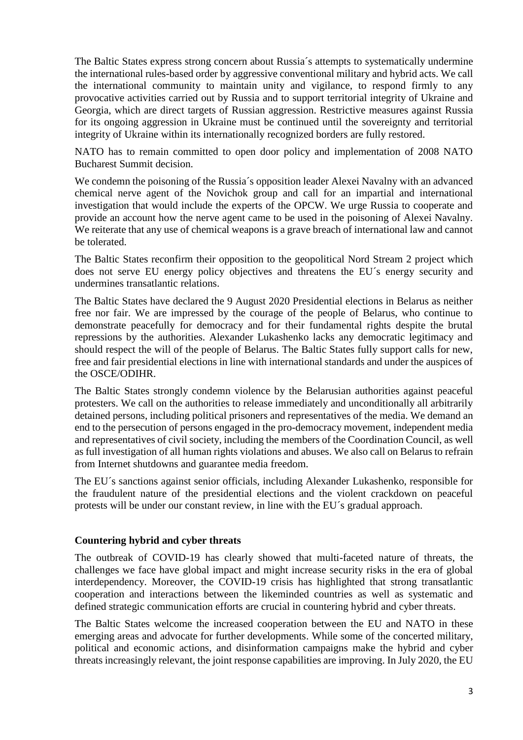The Baltic States express strong concern about Russia´s attempts to systematically undermine the international rules-based order by aggressive conventional military and hybrid acts. We call the international community to maintain unity and vigilance, to respond firmly to any provocative activities carried out by Russia and to support territorial integrity of Ukraine and Georgia, which are direct targets of Russian aggression. Restrictive measures against Russia for its ongoing aggression in Ukraine must be continued until the sovereignty and territorial integrity of Ukraine within its internationally recognized borders are fully restored.

NATO has to remain committed to open door policy and implementation of 2008 NATO Bucharest Summit decision.

We condemn the poisoning of the Russia´s opposition leader Alexei Navalny with an advanced chemical nerve agent of the Novichok group and call for an impartial and international investigation that would include the experts of the OPCW. We urge Russia to cooperate and provide an account how the nerve agent came to be used in the poisoning of Alexei Navalny. We reiterate that any use of chemical weapons is a grave breach of international law and cannot be tolerated.

The Baltic States reconfirm their opposition to the geopolitical Nord Stream 2 project which does not serve EU energy policy objectives and threatens the EU´s energy security and undermines transatlantic relations.

The Baltic States have declared the 9 August 2020 Presidential elections in Belarus as neither free nor fair. We are impressed by the courage of the people of Belarus, who continue to demonstrate peacefully for democracy and for their fundamental rights despite the brutal repressions by the authorities. Alexander Lukashenko lacks any democratic legitimacy and should respect the will of the people of Belarus. The Baltic States fully support calls for new, free and fair presidential elections in line with international standards and under the auspices of the OSCE/ODIHR.

The Baltic States strongly condemn violence by the Belarusian authorities against peaceful protesters. We call on the authorities to release immediately and unconditionally all arbitrarily detained persons, including political prisoners and representatives of the media. We demand an end to the persecution of persons engaged in the pro-democracy movement, independent media and representatives of civil society, including the members of the Coordination Council, as well as full investigation of all human rights violations and abuses. We also call on Belarus to refrain from Internet shutdowns and guarantee media freedom.

The EU´s sanctions against senior officials, including Alexander Lukashenko, responsible for the fraudulent nature of the presidential elections and the violent crackdown on peaceful protests will be under our constant review, in line with the EU´s gradual approach.

## **Countering hybrid and cyber threats**

The outbreak of COVID-19 has clearly showed that multi-faceted nature of threats, the challenges we face have global impact and might increase security risks in the era of global interdependency. Moreover, the COVID-19 crisis has highlighted that strong transatlantic cooperation and interactions between the likeminded countries as well as systematic and defined strategic communication efforts are crucial in countering hybrid and cyber threats.

The Baltic States welcome the increased cooperation between the EU and NATO in these emerging areas and advocate for further developments. While some of the concerted military, political and economic actions, and disinformation campaigns make the hybrid and cyber threats increasingly relevant, the joint response capabilities are improving. In July 2020, the EU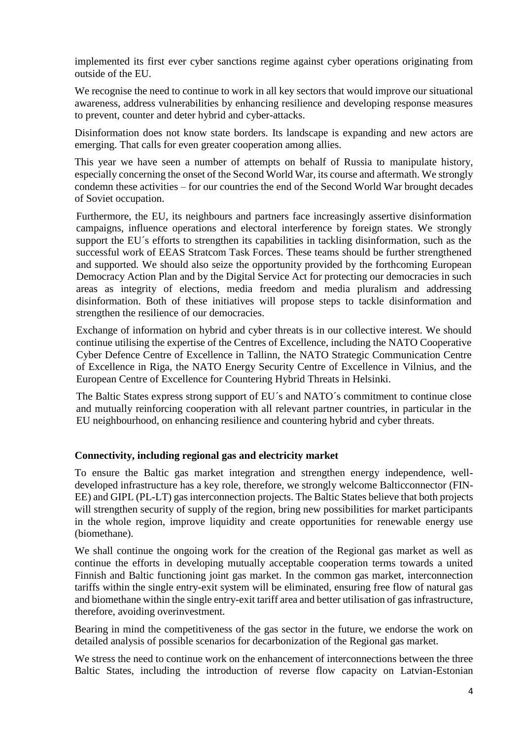implemented its first ever cyber sanctions regime against cyber operations originating from outside of the EU.

We recognise the need to continue to work in all key sectors that would improve our situational awareness, address vulnerabilities by enhancing resilience and developing response measures to prevent, counter and deter hybrid and cyber-attacks.

Disinformation does not know state borders. Its landscape is expanding and new actors are emerging. That calls for even greater cooperation among allies.

This year we have seen a number of attempts on behalf of Russia to manipulate history, especially concerning the onset of the Second World War, its course and aftermath. We strongly condemn these activities – for our countries the end of the Second World War brought decades of Soviet occupation.

Furthermore, the EU, its neighbours and partners face increasingly assertive disinformation campaigns, influence operations and electoral interference by foreign states. We strongly support the EU´s efforts to strengthen its capabilities in tackling disinformation, such as the successful work of EEAS Stratcom Task Forces. These teams should be further strengthened and supported. We should also seize the opportunity provided by the forthcoming European Democracy Action Plan and by the Digital Service Act for protecting our democracies in such areas as integrity of elections, media freedom and media pluralism and addressing disinformation. Both of these initiatives will propose steps to tackle disinformation and strengthen the resilience of our democracies.

Exchange of information on hybrid and cyber threats is in our collective interest. We should continue utilising the expertise of the Centres of Excellence, including the NATO Cooperative Cyber Defence Centre of Excellence in Tallinn, the NATO Strategic Communication Centre of Excellence in Riga, the NATO Energy Security Centre of Excellence in Vilnius, and the European Centre of Excellence for Countering Hybrid Threats in Helsinki.

The Baltic States express strong support of EU´s and NATO´s commitment to continue close and mutually reinforcing cooperation with all relevant partner countries, in particular in the EU neighbourhood, on enhancing resilience and countering hybrid and cyber threats.

### **Connectivity, including regional gas and electricity market**

To ensure the Baltic gas market integration and strengthen energy independence, welldeveloped infrastructure has a key role, therefore, we strongly welcome Balticconnector (FIN-EE) and GIPL (PL-LT) gas interconnection projects. The Baltic States believe that both projects will strengthen security of supply of the region, bring new possibilities for market participants in the whole region, improve liquidity and create opportunities for renewable energy use (biomethane).

We shall continue the ongoing work for the creation of the Regional gas market as well as continue the efforts in developing mutually acceptable cooperation terms towards a united Finnish and Baltic functioning joint gas market. In the common gas market, interconnection tariffs within the single entry-exit system will be eliminated, ensuring free flow of natural gas and biomethane within the single entry-exit tariff area and better utilisation of gas infrastructure, therefore, avoiding overinvestment.

Bearing in mind the competitiveness of the gas sector in the future, we endorse the work on detailed analysis of possible scenarios for decarbonization of the Regional gas market.

We stress the need to continue work on the enhancement of interconnections between the three Baltic States, including the introduction of reverse flow capacity on Latvian-Estonian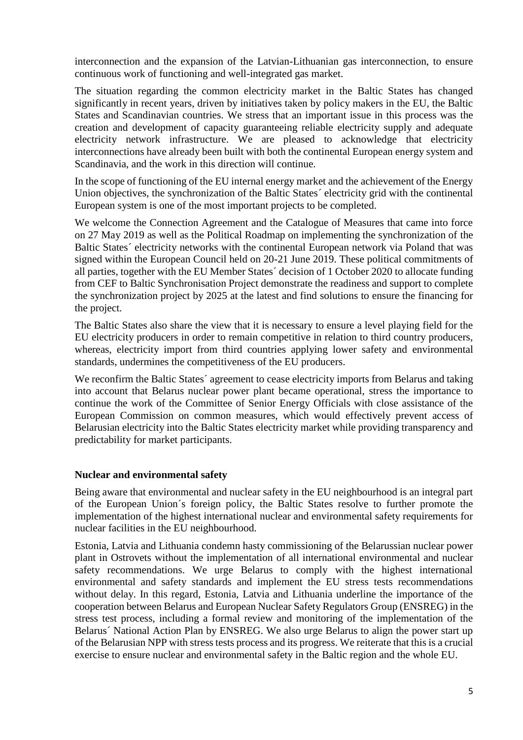interconnection and the expansion of the Latvian-Lithuanian gas interconnection, to ensure continuous work of functioning and well-integrated gas market.

The situation regarding the common electricity market in the Baltic States has changed significantly in recent years, driven by initiatives taken by policy makers in the EU, the Baltic States and Scandinavian countries. We stress that an important issue in this process was the creation and development of capacity guaranteeing reliable electricity supply and adequate electricity network infrastructure. We are pleased to acknowledge that electricity interconnections have already been built with both the continental European energy system and Scandinavia, and the work in this direction will continue.

In the scope of functioning of the EU internal energy market and the achievement of the Energy Union objectives, the synchronization of the Baltic States´ electricity grid with the continental European system is one of the most important projects to be completed.

We welcome the Connection Agreement and the Catalogue of Measures that came into force on 27 May 2019 as well as the Political Roadmap on implementing the synchronization of the Baltic States´ electricity networks with the continental European network via Poland that was signed within the European Council held on 20-21 June 2019. These political commitments of all parties, together with the EU Member States´ decision of 1 October 2020 to allocate funding from CEF to Baltic Synchronisation Project demonstrate the readiness and support to complete the synchronization project by 2025 at the latest and find solutions to ensure the financing for the project.

The Baltic States also share the view that it is necessary to ensure a level playing field for the EU electricity producers in order to remain competitive in relation to third country producers, whereas, electricity import from third countries applying lower safety and environmental standards, undermines the competitiveness of the EU producers.

We reconfirm the Baltic States' agreement to cease electricity imports from Belarus and taking into account that Belarus nuclear power plant became operational, stress the importance to continue the work of the Committee of Senior Energy Officials with close assistance of the European Commission on common measures, which would effectively prevent access of Belarusian electricity into the Baltic States electricity market while providing transparency and predictability for market participants.

### **Nuclear and environmental safety**

Being aware that environmental and nuclear safety in the EU neighbourhood is an integral part of the European Union´s foreign policy, the Baltic States resolve to further promote the implementation of the highest international nuclear and environmental safety requirements for nuclear facilities in the EU neighbourhood.

Estonia, Latvia and Lithuania condemn hasty commissioning of the Belarussian nuclear power plant in Ostrovets without the implementation of all international environmental and nuclear safety recommendations. We urge Belarus to comply with the highest international environmental and safety standards and implement the EU stress tests recommendations without delay. In this regard, Estonia, Latvia and Lithuania underline the importance of the cooperation between Belarus and European Nuclear Safety Regulators Group (ENSREG) in the stress test process, including a formal review and monitoring of the implementation of the Belarus´ National Action Plan by ENSREG. We also urge Belarus to align the power start up of the Belarusian NPP with stress tests process and its progress. We reiterate that this is a crucial exercise to ensure nuclear and environmental safety in the Baltic region and the whole EU.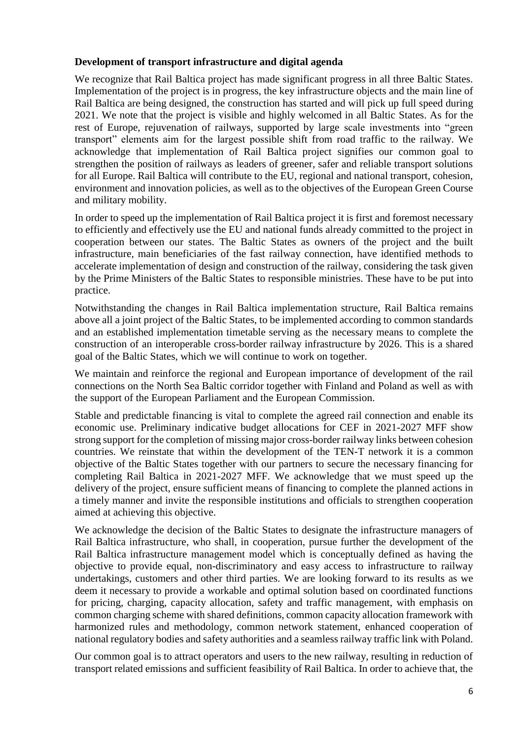### **Development of transport infrastructure and digital agenda**

We recognize that Rail Baltica project has made significant progress in all three Baltic States. Implementation of the project is in progress, the key infrastructure objects and the main line of Rail Baltica are being designed, the construction has started and will pick up full speed during 2021. We note that the project is visible and highly welcomed in all Baltic States. As for the rest of Europe, rejuvenation of railways, supported by large scale investments into "green transport" elements aim for the largest possible shift from road traffic to the railway. We acknowledge that implementation of Rail Baltica project signifies our common goal to strengthen the position of railways as leaders of greener, safer and reliable transport solutions for all Europe. Rail Baltica will contribute to the EU, regional and national transport, cohesion, environment and innovation policies, as well as to the objectives of the European Green Course and military mobility.

In order to speed up the implementation of Rail Baltica project it is first and foremost necessary to efficiently and effectively use the EU and national funds already committed to the project in cooperation between our states. The Baltic States as owners of the project and the built infrastructure, main beneficiaries of the fast railway connection, have identified methods to accelerate implementation of design and construction of the railway, considering the task given by the Prime Ministers of the Baltic States to responsible ministries. These have to be put into practice.

Notwithstanding the changes in Rail Baltica implementation structure, Rail Baltica remains above all a joint project of the Baltic States, to be implemented according to common standards and an established implementation timetable serving as the necessary means to complete the construction of an interoperable cross-border railway infrastructure by 2026. This is a shared goal of the Baltic States, which we will continue to work on together.

We maintain and reinforce the regional and European importance of development of the rail connections on the North Sea Baltic corridor together with Finland and Poland as well as with the support of the European Parliament and the European Commission.

Stable and predictable financing is vital to complete the agreed rail connection and enable its economic use. Preliminary indicative budget allocations for CEF in 2021-2027 MFF show strong support for the completion of missing major cross-border railway links between cohesion countries. We reinstate that within the development of the TEN-T network it is a common objective of the Baltic States together with our partners to secure the necessary financing for completing Rail Baltica in 2021-2027 MFF. We acknowledge that we must speed up the delivery of the project, ensure sufficient means of financing to complete the planned actions in a timely manner and invite the responsible institutions and officials to strengthen cooperation aimed at achieving this objective.

We acknowledge the decision of the Baltic States to designate the infrastructure managers of Rail Baltica infrastructure, who shall, in cooperation, pursue further the development of the Rail Baltica infrastructure management model which is conceptually defined as having the objective to provide equal, non-discriminatory and easy access to infrastructure to railway undertakings, customers and other third parties. We are looking forward to its results as we deem it necessary to provide a workable and optimal solution based on coordinated functions for pricing, charging, capacity allocation, safety and traffic management, with emphasis on common charging scheme with shared definitions, common capacity allocation framework with harmonized rules and methodology, common network statement, enhanced cooperation of national regulatory bodies and safety authorities and a seamless railway traffic link with Poland.

Our common goal is to attract operators and users to the new railway, resulting in reduction of transport related emissions and sufficient feasibility of Rail Baltica. In order to achieve that, the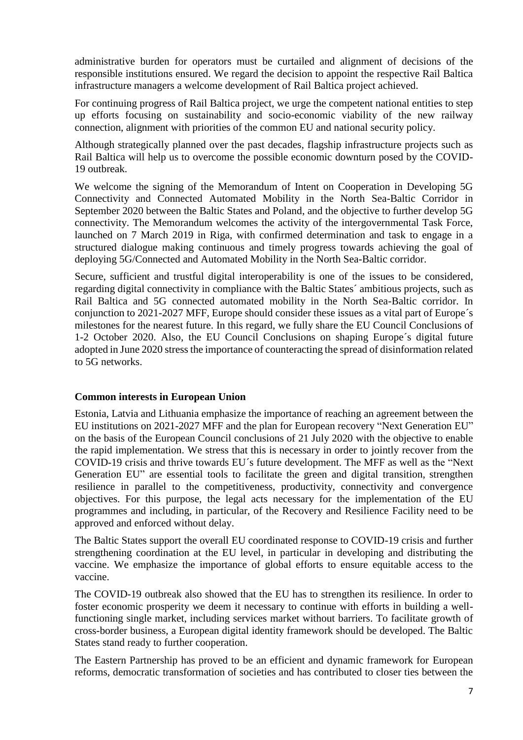administrative burden for operators must be curtailed and alignment of decisions of the responsible institutions ensured. We regard the decision to appoint the respective Rail Baltica infrastructure managers a welcome development of Rail Baltica project achieved.

For continuing progress of Rail Baltica project, we urge the competent national entities to step up efforts focusing on sustainability and socio-economic viability of the new railway connection, alignment with priorities of the common EU and national security policy.

Although strategically planned over the past decades, flagship infrastructure projects such as Rail Baltica will help us to overcome the possible economic downturn posed by the COVID-19 outbreak.

We welcome the signing of the Memorandum of Intent on Cooperation in Developing 5G Connectivity and Connected Automated Mobility in the North Sea-Baltic Corridor in September 2020 between the Baltic States and Poland, and the objective to further develop 5G connectivity. The Memorandum welcomes the activity of the intergovernmental Task Force, launched on 7 March 2019 in Riga, with confirmed determination and task to engage in a structured dialogue making continuous and timely progress towards achieving the goal of deploying 5G/Connected and Automated Mobility in the North Sea-Baltic corridor.

Secure, sufficient and trustful digital interoperability is one of the issues to be considered, regarding digital connectivity in compliance with the Baltic States´ ambitious projects, such as Rail Baltica and 5G connected automated mobility in the North Sea-Baltic corridor. In conjunction to 2021-2027 MFF, Europe should consider these issues as a vital part of Europe´s milestones for the nearest future. In this regard, we fully share the EU Council Conclusions of 1-2 October 2020. Also, the EU Council Conclusions on shaping Europe´s digital future adopted in June 2020 stress the importance of counteracting the spread of disinformation related to 5G networks.

### **Common interests in European Union**

Estonia, Latvia and Lithuania emphasize the importance of reaching an agreement between the EU institutions on 2021-2027 MFF and the plan for European recovery "Next Generation EU" on the basis of the European Council conclusions of 21 July 2020 with the objective to enable the rapid implementation. We stress that this is necessary in order to jointly recover from the COVID-19 crisis and thrive towards EU´s future development. The MFF as well as the "Next Generation EU" are essential tools to facilitate the green and digital transition, strengthen resilience in parallel to the competitiveness, productivity, connectivity and convergence objectives. For this purpose, the legal acts necessary for the implementation of the EU programmes and including, in particular, of the Recovery and Resilience Facility need to be approved and enforced without delay.

The Baltic States support the overall EU coordinated response to COVID-19 crisis and further strengthening coordination at the EU level, in particular in developing and distributing the vaccine. We emphasize the importance of global efforts to ensure equitable access to the vaccine.

The COVID-19 outbreak also showed that the EU has to strengthen its resilience. In order to foster economic prosperity we deem it necessary to continue with efforts in building a wellfunctioning single market, including services market without barriers. To facilitate growth of cross-border business, a European digital identity framework should be developed. The Baltic States stand ready to further cooperation.

The Eastern Partnership has proved to be an efficient and dynamic framework for European reforms, democratic transformation of societies and has contributed to closer ties between the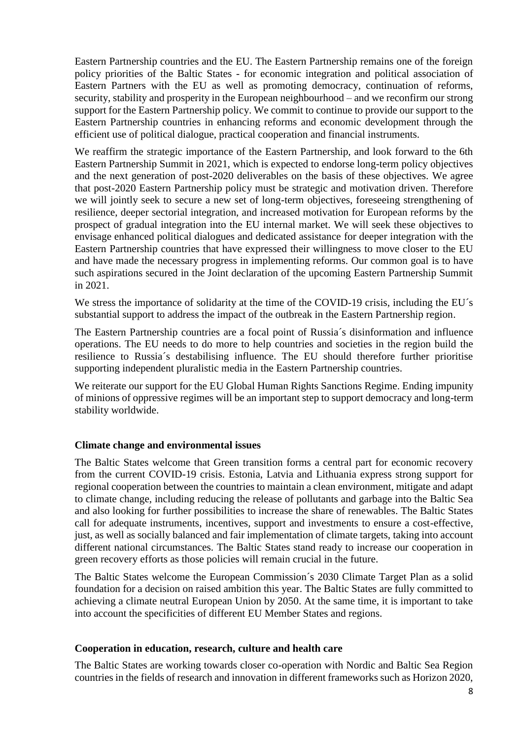Eastern Partnership countries and the EU. The Eastern Partnership remains one of the foreign policy priorities of the Baltic States - for economic integration and political association of Eastern Partners with the EU as well as promoting democracy, continuation of reforms, security, stability and prosperity in the European neighbourhood – and we reconfirm our strong support for the Eastern Partnership policy. We commit to continue to provide our support to the Eastern Partnership countries in enhancing reforms and economic development through the efficient use of political dialogue, practical cooperation and financial instruments.

We reaffirm the strategic importance of the Eastern Partnership, and look forward to the 6th Eastern Partnership Summit in 2021, which is expected to endorse long-term policy objectives and the next generation of post-2020 deliverables on the basis of these objectives. We agree that post-2020 Eastern Partnership policy must be strategic and motivation driven. Therefore we will jointly seek to secure a new set of long-term objectives, foreseeing strengthening of resilience, deeper sectorial integration, and increased motivation for European reforms by the prospect of gradual integration into the EU internal market. We will seek these objectives to envisage enhanced political dialogues and dedicated assistance for deeper integration with the Eastern Partnership countries that have expressed their willingness to move closer to the EU and have made the necessary progress in implementing reforms. Our common goal is to have such aspirations secured in the Joint declaration of the upcoming Eastern Partnership Summit in 2021.

We stress the importance of solidarity at the time of the COVID-19 crisis, including the EU's substantial support to address the impact of the outbreak in the Eastern Partnership region.

The Eastern Partnership countries are a focal point of Russia´s disinformation and influence operations. The EU needs to do more to help countries and societies in the region build the resilience to Russia´s destabilising influence. The EU should therefore further prioritise supporting independent pluralistic media in the Eastern Partnership countries.

We reiterate our support for the EU Global Human Rights Sanctions Regime. Ending impunity of minions of oppressive regimes will be an important step to support democracy and long-term stability worldwide.

## **Climate change and environmental issues**

The Baltic States welcome that Green transition forms a central part for economic recovery from the current COVID-19 crisis. Estonia, Latvia and Lithuania express strong support for regional cooperation between the countries to maintain a clean environment, mitigate and adapt to climate change, including reducing the release of pollutants and garbage into the Baltic Sea and also looking for further possibilities to increase the share of renewables. The Baltic States call for adequate instruments, incentives, support and investments to ensure a cost-effective, just, as well as socially balanced and fair implementation of climate targets, taking into account different national circumstances. The Baltic States stand ready to increase our cooperation in green recovery efforts as those policies will remain crucial in the future.

The Baltic States welcome the European Commission´s 2030 Climate Target Plan as a solid foundation for a decision on raised ambition this year. The Baltic States are fully committed to achieving a climate neutral European Union by 2050. At the same time, it is important to take into account the specificities of different EU Member States and regions.

#### **Cooperation in education, research, culture and health care**

The Baltic States are working towards closer co-operation with Nordic and Baltic Sea Region countries in the fields of research and innovation in different frameworks such as Horizon 2020,